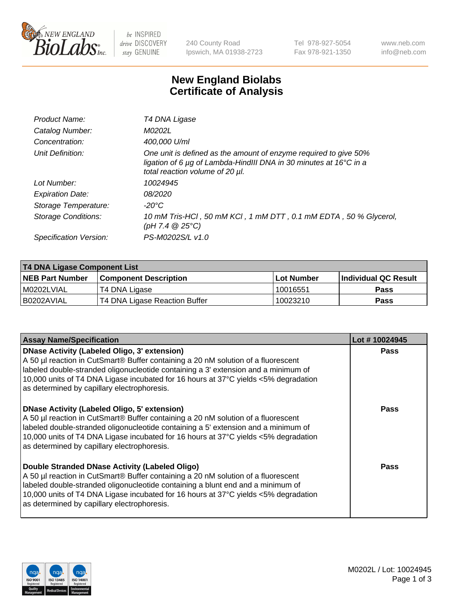

be INSPIRED drive DISCOVERY stay GENUINE

240 County Road Ipswich, MA 01938-2723 Tel 978-927-5054 Fax 978-921-1350 www.neb.com info@neb.com

## **New England Biolabs Certificate of Analysis**

| Product Name:           | T4 DNA Ligase                                                                                                                                                                           |
|-------------------------|-----------------------------------------------------------------------------------------------------------------------------------------------------------------------------------------|
| Catalog Number:         | M0202L                                                                                                                                                                                  |
| Concentration:          | 400,000 U/ml                                                                                                                                                                            |
| Unit Definition:        | One unit is defined as the amount of enzyme required to give 50%<br>ligation of 6 $\mu$ g of Lambda-HindIII DNA in 30 minutes at 16 $\degree$ C in a<br>total reaction volume of 20 µl. |
| Lot Number:             | 10024945                                                                                                                                                                                |
| <b>Expiration Date:</b> | 08/2020                                                                                                                                                                                 |
| Storage Temperature:    | -20°C                                                                                                                                                                                   |
| Storage Conditions:     | 10 mM Tris-HCl, 50 mM KCl, 1 mM DTT, 0.1 mM EDTA, 50 % Glycerol,<br>(pH 7.4 $@25°C$ )                                                                                                   |
| Specification Version:  | PS-M0202S/L v1.0                                                                                                                                                                        |

| T4 DNA Ligase Component List |                               |              |                             |  |  |
|------------------------------|-------------------------------|--------------|-----------------------------|--|--|
| <b>NEB Part Number</b>       | <b>Component Description</b>  | l Lot Number | <b>Individual QC Result</b> |  |  |
| M0202LVIAL                   | T4 DNA Ligase                 | 10016551     | <b>Pass</b>                 |  |  |
| I B0202AVIAL                 | T4 DNA Ligase Reaction Buffer | 10023210     | <b>Pass</b>                 |  |  |

| <b>Assay Name/Specification</b>                                                                                                                                                                                                                                                                                                                               | Lot #10024945 |
|---------------------------------------------------------------------------------------------------------------------------------------------------------------------------------------------------------------------------------------------------------------------------------------------------------------------------------------------------------------|---------------|
| DNase Activity (Labeled Oligo, 3' extension)<br>A 50 µl reaction in CutSmart® Buffer containing a 20 nM solution of a fluorescent<br>labeled double-stranded oligonucleotide containing a 3' extension and a minimum of<br>10,000 units of T4 DNA Ligase incubated for 16 hours at 37°C yields <5% degradation<br>as determined by capillary electrophoresis. | <b>Pass</b>   |
| DNase Activity (Labeled Oligo, 5' extension)<br>A 50 µl reaction in CutSmart® Buffer containing a 20 nM solution of a fluorescent<br>labeled double-stranded oligonucleotide containing a 5' extension and a minimum of<br>10,000 units of T4 DNA Ligase incubated for 16 hours at 37°C yields <5% degradation<br>as determined by capillary electrophoresis. | <b>Pass</b>   |
| Double Stranded DNase Activity (Labeled Oligo)<br>A 50 µl reaction in CutSmart® Buffer containing a 20 nM solution of a fluorescent<br>abeled double-stranded oligonucleotide containing a blunt end and a minimum of<br>10,000 units of T4 DNA Ligase incubated for 16 hours at 37°C yields <5% degradation<br>as determined by capillary electrophoresis.   | Pass          |

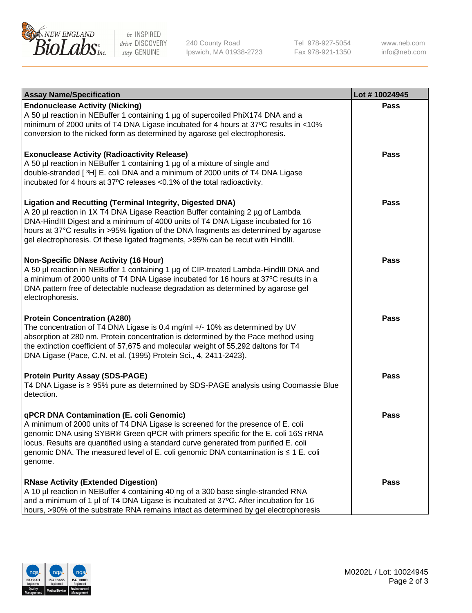

be INSPIRED drive DISCOVERY stay GENUINE

240 County Road Ipswich, MA 01938-2723 Tel 978-927-5054 Fax 978-921-1350

www.neb.com info@neb.com

| <b>Assay Name/Specification</b>                                                                                                                                                                                                                                                                                                                                                                                    | Lot #10024945 |
|--------------------------------------------------------------------------------------------------------------------------------------------------------------------------------------------------------------------------------------------------------------------------------------------------------------------------------------------------------------------------------------------------------------------|---------------|
| <b>Endonuclease Activity (Nicking)</b><br>A 50 µl reaction in NEBuffer 1 containing 1 µg of supercoiled PhiX174 DNA and a<br>minimum of 2000 units of T4 DNA Ligase incubated for 4 hours at 37°C results in <10%<br>conversion to the nicked form as determined by agarose gel electrophoresis.                                                                                                                   | <b>Pass</b>   |
| <b>Exonuclease Activity (Radioactivity Release)</b><br>A 50 µl reaction in NEBuffer 1 containing 1 µg of a mixture of single and<br>double-stranded [3H] E. coli DNA and a minimum of 2000 units of T4 DNA Ligase<br>incubated for 4 hours at 37°C releases <0.1% of the total radioactivity.                                                                                                                      | <b>Pass</b>   |
| <b>Ligation and Recutting (Terminal Integrity, Digested DNA)</b><br>A 20 µl reaction in 1X T4 DNA Ligase Reaction Buffer containing 2 µg of Lambda<br>DNA-HindIII Digest and a minimum of 4000 units of T4 DNA Ligase incubated for 16<br>hours at 37°C results in >95% ligation of the DNA fragments as determined by agarose<br>gel electrophoresis. Of these ligated fragments, >95% can be recut with HindIII. | <b>Pass</b>   |
| <b>Non-Specific DNase Activity (16 Hour)</b><br>A 50 µl reaction in NEBuffer 1 containing 1 µg of CIP-treated Lambda-HindIII DNA and<br>a minimum of 2000 units of T4 DNA Ligase incubated for 16 hours at 37°C results in a<br>DNA pattern free of detectable nuclease degradation as determined by agarose gel<br>electrophoresis.                                                                               | <b>Pass</b>   |
| <b>Protein Concentration (A280)</b><br>The concentration of T4 DNA Ligase is 0.4 mg/ml +/- 10% as determined by UV<br>absorption at 280 nm. Protein concentration is determined by the Pace method using<br>the extinction coefficient of 57,675 and molecular weight of 55,292 daltons for T4<br>DNA Ligase (Pace, C.N. et al. (1995) Protein Sci., 4, 2411-2423).                                                | <b>Pass</b>   |
| <b>Protein Purity Assay (SDS-PAGE)</b><br>T4 DNA Ligase is ≥ 95% pure as determined by SDS-PAGE analysis using Coomassie Blue<br>detection.                                                                                                                                                                                                                                                                        | <b>Pass</b>   |
| qPCR DNA Contamination (E. coli Genomic)<br>A minimum of 2000 units of T4 DNA Ligase is screened for the presence of E. coli<br>genomic DNA using SYBR® Green qPCR with primers specific for the E. coli 16S rRNA<br>locus. Results are quantified using a standard curve generated from purified E. coli<br>genomic DNA. The measured level of E. coli genomic DNA contamination is ≤ 1 E. coli<br>genome.        | Pass          |
| <b>RNase Activity (Extended Digestion)</b><br>A 10 µl reaction in NEBuffer 4 containing 40 ng of a 300 base single-stranded RNA<br>and a minimum of 1 µl of T4 DNA Ligase is incubated at 37°C. After incubation for 16<br>hours, >90% of the substrate RNA remains intact as determined by gel electrophoresis                                                                                                    | <b>Pass</b>   |